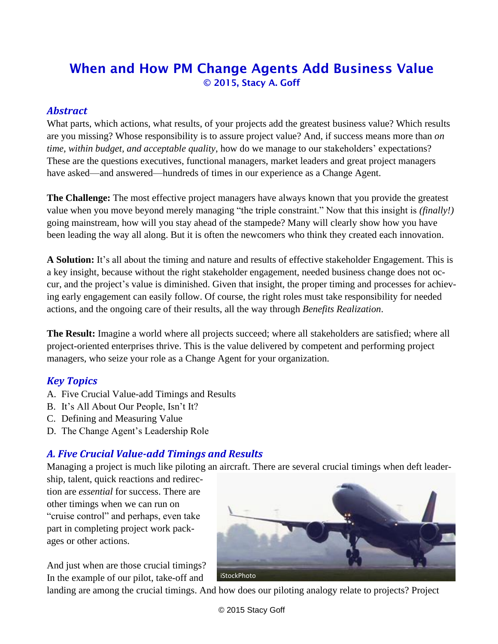# When and How PM Change Agents Add Business Value © 2015, Stacy A. Goff

#### *Abstract*

What parts, which actions, what results, of your projects add the greatest business value? Which results are you missing? Whose responsibility is to assure project value? And, if success means more than *on time, within budget, and acceptable quality*, how do we manage to our stakeholders' expectations? These are the questions executives, functional managers, market leaders and great project managers have asked—and answered—hundreds of times in our experience as a Change Agent.

**The Challenge:** The most effective project managers have always known that you provide the greatest value when you move beyond merely managing "the triple constraint." Now that this insight is *(finally!)* going mainstream, how will you stay ahead of the stampede? Many will clearly show how you have been leading the way all along. But it is often the newcomers who think they created each innovation.

**A Solution:** It's all about the timing and nature and results of effective stakeholder Engagement. This is a key insight, because without the right stakeholder engagement, needed business change does not occur, and the project's value is diminished. Given that insight, the proper timing and processes for achieving early engagement can easily follow. Of course, the right roles must take responsibility for needed actions, and the ongoing care of their results, all the way through *Benefits Realization*.

**The Result:** Imagine a world where all projects succeed; where all stakeholders are satisfied; where all project-oriented enterprises thrive. This is the value delivered by competent and performing project managers, who seize your role as a Change Agent for your organization.

## *Key Topics*

- A. Five Crucial Value-add Timings and Results
- B. It's All About Our People, Isn't It?
- C. Defining and Measuring Value
- D. The Change Agent's Leadership Role

# *A. Five Crucial Value-add Timings and Results*

Managing a project is much like piloting an aircraft. There are several crucial timings when deft leader-

ship, talent, quick reactions and redirection are *essential* for success. There are other timings when we can run on "cruise control" and perhaps, even take part in completing project work packages or other actions.

And just when are those crucial timings? In the example of our pilot, take-off and



landing are among the crucial timings. And how does our piloting analogy relate to projects? Project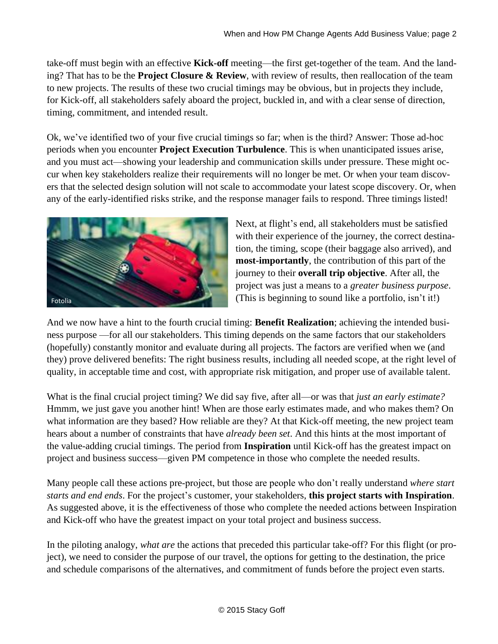take-off must begin with an effective **Kick-off** meeting—the first get-together of the team. And the landing? That has to be the **Project Closure & Review**, with review of results, then reallocation of the team to new projects. The results of these two crucial timings may be obvious, but in projects they include, for Kick-off, all stakeholders safely aboard the project, buckled in, and with a clear sense of direction, timing, commitment, and intended result.

Ok, we've identified two of your five crucial timings so far; when is the third? Answer: Those ad-hoc periods when you encounter **Project Execution Turbulence**. This is when unanticipated issues arise, and you must act—showing your leadership and communication skills under pressure. These might occur when key stakeholders realize their requirements will no longer be met. Or when your team discovers that the selected design solution will not scale to accommodate your latest scope discovery. Or, when any of the early-identified risks strike, and the response manager fails to respond. Three timings listed!



Next, at flight's end, all stakeholders must be satisfied with their experience of the journey, the correct destination, the timing, scope (their baggage also arrived), and **most-importantly**, the contribution of this part of the journey to their **overall trip objective**. After all, the project was just a means to a *greater business purpose*. (This is beginning to sound like a portfolio, isn't it!)

And we now have a hint to the fourth crucial timing: **Benefit Realization**; achieving the intended business purpose —for all our stakeholders. This timing depends on the same factors that our stakeholders (hopefully) constantly monitor and evaluate during all projects. The factors are verified when we (and they) prove delivered benefits: The right business results, including all needed scope, at the right level of quality, in acceptable time and cost, with appropriate risk mitigation, and proper use of available talent.

What is the final crucial project timing? We did say five, after all—or was that *just an early estimate?* Hmmm, we just gave you another hint! When are those early estimates made, and who makes them? On what information are they based? How reliable are they? At that Kick-off meeting, the new project team hears about a number of constraints that have *already been set*. And this hints at the most important of the value-adding crucial timings. The period from **Inspiration** until Kick-off has the greatest impact on project and business success—given PM competence in those who complete the needed results.

Many people call these actions pre-project, but those are people who don't really understand *where start starts and end ends*. For the project's customer, your stakeholders, **this project starts with Inspiration**. As suggested above, it is the effectiveness of those who complete the needed actions between Inspiration and Kick-off who have the greatest impact on your total project and business success.

In the piloting analogy, *what are* the actions that preceded this particular take-off? For this flight (or project), we need to consider the purpose of our travel, the options for getting to the destination, the price and schedule comparisons of the alternatives, and commitment of funds before the project even starts.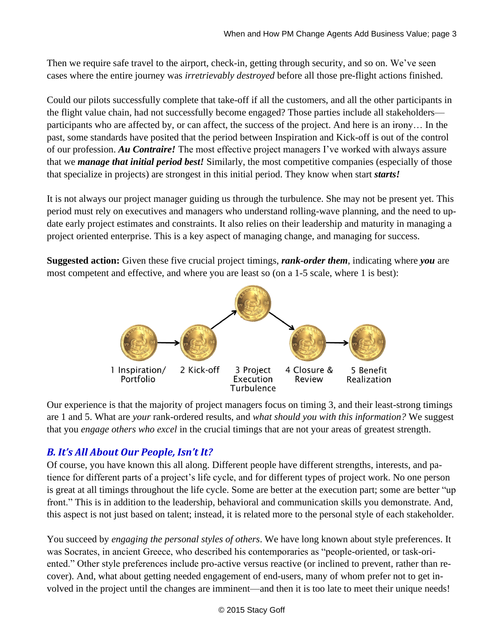Then we require safe travel to the airport, check-in, getting through security, and so on. We've seen cases where the entire journey was *irretrievably destroyed* before all those pre-flight actions finished.

Could our pilots successfully complete that take-off if all the customers, and all the other participants in the flight value chain, had not successfully become engaged? Those parties include all stakeholders participants who are affected by, or can affect, the success of the project. And here is an irony… In the past, some standards have posited that the period between Inspiration and Kick-off is out of the control of our profession. *Au Contraire!* The most effective project managers I've worked with always assure that we *manage that initial period best!* Similarly, the most competitive companies (especially of those that specialize in projects) are strongest in this initial period. They know when start *starts!*

It is not always our project manager guiding us through the turbulence. She may not be present yet. This period must rely on executives and managers who understand rolling-wave planning, and the need to update early project estimates and constraints. It also relies on their leadership and maturity in managing a project oriented enterprise. This is a key aspect of managing change, and managing for success.

**Suggested action:** Given these five crucial project timings, *rank-order them*, indicating where *you* are most competent and effective, and where you are least so (on a 1-5 scale, where 1 is best):



Our experience is that the majority of project managers focus on timing 3, and their least-strong timings are 1 and 5. What are *your* rank-ordered results, and *what should you with this information?* We suggest that you *engage others who excel* in the crucial timings that are not your areas of greatest strength.

## *B. It's All About Our People, Isn't It?*

Of course, you have known this all along. Different people have different strengths, interests, and patience for different parts of a project's life cycle, and for different types of project work. No one person is great at all timings throughout the life cycle. Some are better at the execution part; some are better "up front." This is in addition to the leadership, behavioral and communication skills you demonstrate. And, this aspect is not just based on talent; instead, it is related more to the personal style of each stakeholder.

You succeed by *engaging the personal styles of others*. We have long known about style preferences. It was Socrates, in ancient Greece, who described his contemporaries as "people-oriented, or task-oriented." Other style preferences include pro-active versus reactive (or inclined to prevent, rather than recover). And, what about getting needed engagement of end-users, many of whom prefer not to get involved in the project until the changes are imminent—and then it is too late to meet their unique needs!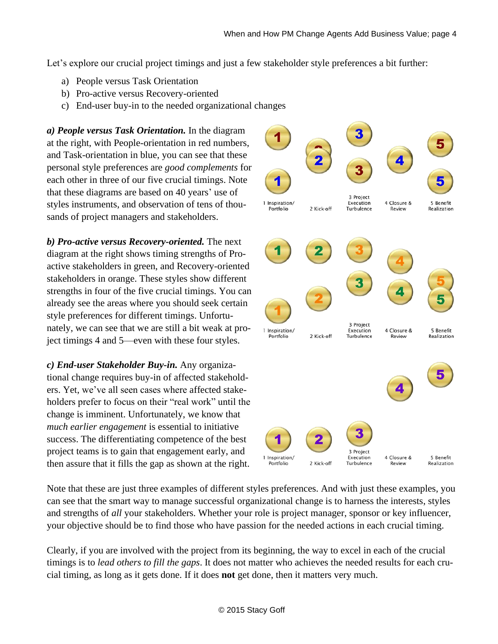Let's explore our crucial project timings and just a few stakeholder style preferences a bit further:

- a) People versus Task Orientation
- b) Pro-active versus Recovery-oriented
- c) End-user buy-in to the needed organizational changes

*a) People versus Task Orientation.* In the diagram at the right, with People-orientation in red numbers, and Task-orientation in blue, you can see that these personal style preferences are *good complements* for each other in three of our five crucial timings. Note that these diagrams are based on 40 years' use of styles instruments, and observation of tens of thousands of project managers and stakeholders.

*b) Pro-active versus Recovery-oriented.* The next diagram at the right shows timing strengths of Proactive stakeholders in green, and Recovery-oriented stakeholders in orange. These styles show different strengths in four of the five crucial timings. You can already see the areas where you should seek certain style preferences for different timings. Unfortunately, we can see that we are still a bit weak at project timings 4 and 5—even with these four styles.

*c) End-user Stakeholder Buy-in.* Any organizational change requires buy-in of affected stakeholders. Yet, we've all seen cases where affected stakeholders prefer to focus on their "real work" until the change is imminent. Unfortunately, we know that *much earlier engagement* is essential to initiative success. The differentiating competence of the best project teams is to gain that engagement early, and then assure that it fills the gap as shown at the right.



Note that these are just three examples of different styles preferences. And with just these examples, you can see that the smart way to manage successful organizational change is to harness the interests, styles and strengths of *all* your stakeholders. Whether your role is project manager, sponsor or key influencer, your objective should be to find those who have passion for the needed actions in each crucial timing.

Clearly, if you are involved with the project from its beginning, the way to excel in each of the crucial timings is to *lead others to fill the gaps*. It does not matter who achieves the needed results for each crucial timing, as long as it gets done. If it does **not** get done, then it matters very much.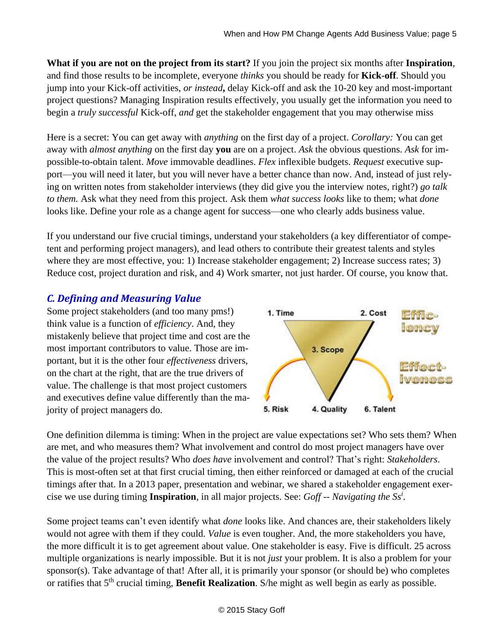**What if you are not on the project from its start?** If you join the project six months after **Inspiration**, and find those results to be incomplete, everyone *thinks* you should be ready for **Kick-off**. Should you jump into your Kick-off activities, *or instead***,** delay Kick-off and ask the 10-20 key and most-important project questions? Managing Inspiration results effectively, you usually get the information you need to begin a *truly successful* Kick-off, *and* get the stakeholder engagement that you may otherwise miss

Here is a secret: You can get away with *anything* on the first day of a project. *Corollary:* You can get away with *almost anything* on the first day **you** are on a project. *Ask* the obvious questions. *Ask* for impossible-to-obtain talent. *Move* immovable deadlines. *Flex* inflexible budgets. *Request* executive support—you will need it later, but you will never have a better chance than now. And, instead of just relying on written notes from stakeholder interviews (they did give you the interview notes, right?) *go talk to them.* Ask what they need from this project. Ask them *what success looks* like to them; what *done* looks like. Define your role as a change agent for success—one who clearly adds business value.

If you understand our five crucial timings, understand your stakeholders (a key differentiator of competent and performing project managers), and lead others to contribute their greatest talents and styles where they are most effective, you: 1) Increase stakeholder engagement; 2) Increase success rates; 3) Reduce cost, project duration and risk, and 4) Work smarter, not just harder. Of course, you know that.

# *C. Defining and Measuring Value*

Some project stakeholders (and too many pms!) think value is a function of *efficiency*. And, they mistakenly believe that project time and cost are the most important contributors to value. Those are important, but it is the other four *effectiveness* drivers, on the chart at the right, that are the true drivers of value. The challenge is that most project customers and executives define value differently than the majority of project managers do.



One definition dilemma is timing: When in the project are value expectations set? Who sets them? When are met, and who measures them? What involvement and control do most project managers have over the value of the project results? Who *does have* involvement and control? That's right: *Stakeholders*. This is most-often set at that first crucial timing, then either reinforced or damaged at each of the crucial timings after that. In a 2013 paper, presentation and webinar, we shared a stakeholder engagement exercise we use during timing **Inspiration***,* in all major projects. See: *Goff -- Navigating the Ss<sup>i</sup>* .

Some project teams can't even identify what *done* looks like. And chances are, their stakeholders likely would not agree with them if they could. *Value* is even tougher. And, the more stakeholders you have, the more difficult it is to get agreement about value. One stakeholder is easy. Five is difficult. 25 across multiple organizations is nearly impossible. But it is not *just* your problem. It is also a problem for your sponsor(s). Take advantage of that! After all, it is primarily your sponsor (or should be) who completes or ratifies that 5<sup>th</sup> crucial timing, **Benefit Realization**. S/he might as well begin as early as possible.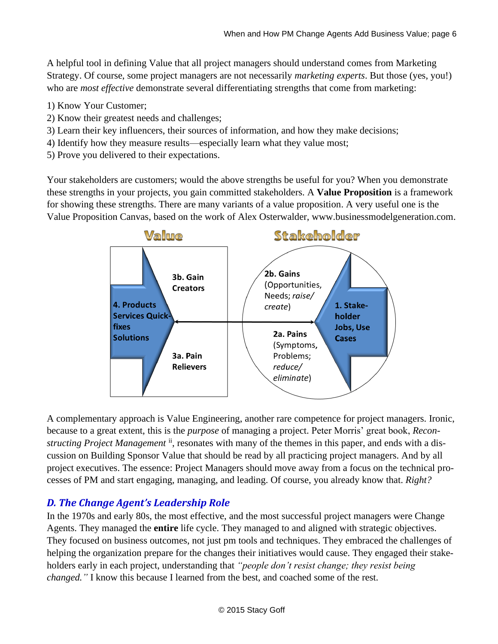A helpful tool in defining Value that all project managers should understand comes from Marketing Strategy. Of course, some project managers are not necessarily *marketing experts*. But those (yes, you!) who are *most effective* demonstrate several differentiating strengths that come from marketing:

- 1) Know Your Customer;
- 2) Know their greatest needs and challenges;
- 3) Learn their key influencers, their sources of information, and how they make decisions;
- 4) Identify how they measure results—especially learn what they value most;
- 5) Prove you delivered to their expectations.

Your stakeholders are customers; would the above strengths be useful for you? When you demonstrate these strengths in your projects, you gain committed stakeholders. A **Value Proposition** is a framework for showing these strengths. There are many variants of a value proposition. A very useful one is the Value Proposition Canvas, based on the work of Alex Osterwalder, www.businessmodelgeneration.com.



A complementary approach is Value Engineering, another rare competence for project managers. Ironic, because to a great extent, this is the *purpose* of managing a project. Peter Morris' great book, *Recon*structing Project Management <sup>ii</sup>, resonates with many of the themes in this paper, and ends with a discussion on Building Sponsor Value that should be read by all practicing project managers. And by all project executives. The essence: Project Managers should move away from a focus on the technical processes of PM and start engaging, managing, and leading. Of course, you already know that. *Right?*

## *D. The Change Agent's Leadership Role*

In the 1970s and early 80s, the most effective, and the most successful project managers were Change Agents. They managed the **entire** life cycle. They managed to and aligned with strategic objectives. They focused on business outcomes, not just pm tools and techniques. They embraced the challenges of helping the organization prepare for the changes their initiatives would cause. They engaged their stakeholders early in each project, understanding that *"people don't resist change; they resist being changed."* I know this because I learned from the best, and coached some of the rest.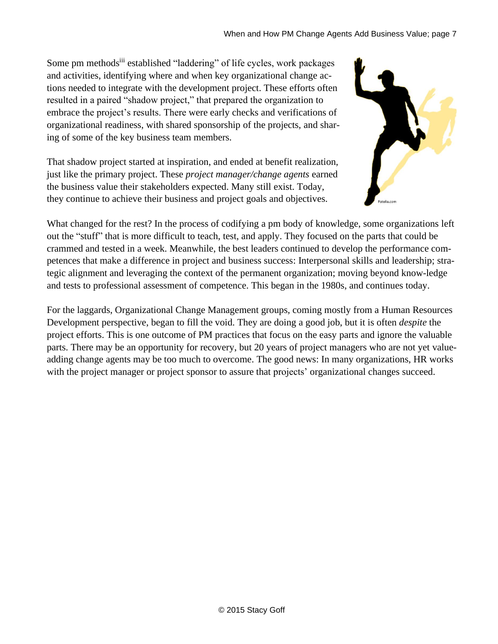Some pm methodsiii established "laddering" of life cycles, work packages and activities, identifying where and when key organizational change actions needed to integrate with the development project. These efforts often resulted in a paired "shadow project," that prepared the organization to embrace the project's results. There were early checks and verifications of organizational readiness, with shared sponsorship of the projects, and sharing of some of the key business team members.

That shadow project started at inspiration, and ended at benefit realization, just like the primary project. These *project manager/change agents* earned the business value their stakeholders expected. Many still exist. Today, they continue to achieve their business and project goals and objectives.



What changed for the rest? In the process of codifying a pm body of knowledge, some organizations left out the "stuff" that is more difficult to teach, test, and apply. They focused on the parts that could be crammed and tested in a week. Meanwhile, the best leaders continued to develop the performance competences that make a difference in project and business success: Interpersonal skills and leadership; strategic alignment and leveraging the context of the permanent organization; moving beyond know-ledge and tests to professional assessment of competence. This began in the 1980s, and continues today.

For the laggards, Organizational Change Management groups, coming mostly from a Human Resources Development perspective, began to fill the void. They are doing a good job, but it is often *despite* the project efforts. This is one outcome of PM practices that focus on the easy parts and ignore the valuable parts. There may be an opportunity for recovery, but 20 years of project managers who are not yet valueadding change agents may be too much to overcome. The good news: In many organizations, HR works with the project manager or project sponsor to assure that projects' organizational changes succeed.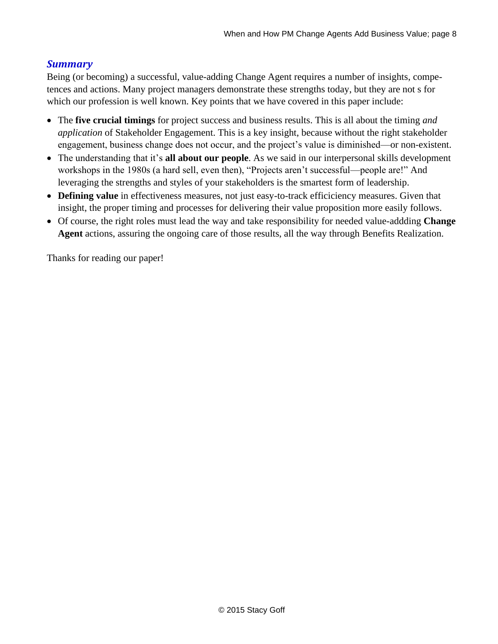#### *Summary*

Being (or becoming) a successful, value-adding Change Agent requires a number of insights, competences and actions. Many project managers demonstrate these strengths today, but they are not s for which our profession is well known. Key points that we have covered in this paper include:

- The **five crucial timings** for project success and business results. This is all about the timing *and application* of Stakeholder Engagement. This is a key insight, because without the right stakeholder engagement, business change does not occur, and the project's value is diminished—or non-existent.
- The understanding that it's **all about our people**. As we said in our interpersonal skills development workshops in the 1980s (a hard sell, even then), "Projects aren't successful—people are!" And leveraging the strengths and styles of your stakeholders is the smartest form of leadership.
- **Defining value** in effectiveness measures, not just easy-to-track efficiciency measures. Given that insight, the proper timing and processes for delivering their value proposition more easily follows.
- Of course, the right roles must lead the way and take responsibility for needed value-addding **Change Agent** actions, assuring the ongoing care of those results, all the way through Benefits Realization.

Thanks for reading our paper!